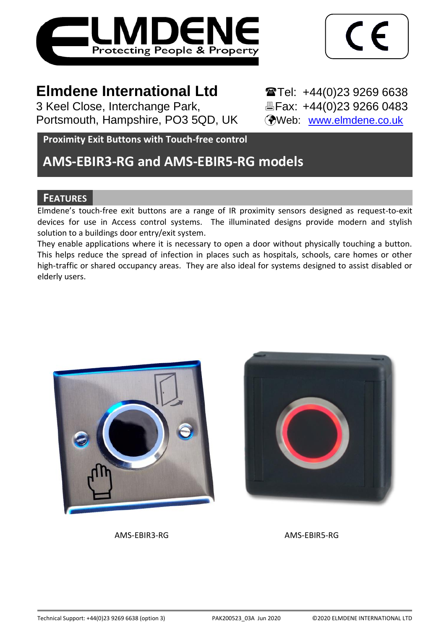

$$
\boxed{\mathsf{CE}}
$$

# **Elmdene International Ltd** Tel: +44(0)23 9269 6638

3 Keel Close, Interchange Park,<br>
Portsmouth, Hampshire, PO3 5QD, UK (Web: www.elmdene.co.uk) Portsmouth, Hampshire, PO3 5QD, UK

**Proximity Exit Buttons with Touch-free control**

# **AMS-EBIR3-RG and AMS-EBIR5-RG models**

# **FEATURES**

Elmdene's touch-free exit buttons are a range of IR proximity sensors designed as request-to-exit devices for use in Access control systems. The illuminated designs provide modern and stylish solution to a buildings door entry/exit system.

They enable applications where it is necessary to open a door without physically touching a button. This helps reduce the spread of infection in places such as hospitals, schools, care homes or other high-traffic or shared occupancy areas. They are also ideal for systems designed to assist disabled or elderly users.





AMS-EBIR3-RG AMS-EBIR5-RG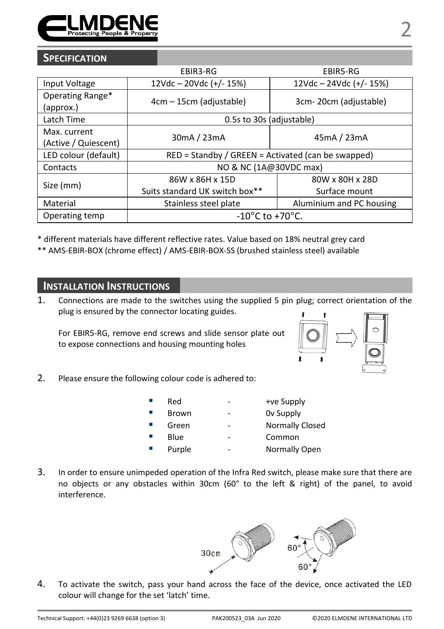

## **SPECIFICATION**

|                                      | EBIR3-RG                                             | EBIR5-RG                  |
|--------------------------------------|------------------------------------------------------|---------------------------|
| Input Voltage                        | $12Vdc - 20Vdc (+/- 15%)$                            | $12Vdc - 24Vdc (+/- 15%)$ |
| Operating Range*<br>(approx.)        | 4cm – 15cm (adjustable)                              | 3cm-20cm (adjustable)     |
| Latch Time                           | 0.5s to 30s (adjustable)                             |                           |
| Max. current<br>(Active / Quiescent) | 30mA / 23mA                                          | 45mA / 23mA               |
| LED colour (default)                 | $RED =$ Standby / GREEN = Activated (can be swapped) |                           |
| Contacts                             | NO & NC (1A@30VDC max)                               |                           |
| Size (mm)                            | 86W x 86H x 15D                                      | 80W x 80H x 28D           |
|                                      | Suits standard UK switch box**                       | Surface mount             |
| Material                             | Stainless steel plate                                | Aluminium and PC housing  |
| Operating temp                       | $-10^{\circ}$ C to $+70^{\circ}$ C.                  |                           |

\* different materials have different reflective rates. Value based on 18% neutral grey card

\*\* AMS-EBIR-BOX (chrome effect) / AMS-EBIR-BOX-SS (brushed stainless steel) available

# **INSTALLATION INSTRUCTIONS**

1. Connections are made to the switches using the supplied 5 pin plug; correct orientation of the plug is ensured by the connector locating guides.

For EBIR5-RG, remove end screws and slide sensor plate out to expose connections and housing mounting holes



2. Please ensure the following colour code is adhered to:

| Red    | $\overline{\phantom{a}}$ | +ve Supply             |
|--------|--------------------------|------------------------|
| Brown  | -                        | Ov Supply              |
| Green  | $\qquad \qquad$          | <b>Normally Closed</b> |
| Blue   | -                        | Common                 |
| Purple | -                        | Normally Open          |

3. In order to ensure unimpeded operation of the Infra Red switch, please make sure that there are no objects or any obstacles within 30cm (60° to the left & right) of the panel, to avoid interference.



4. To activate the switch, pass your hand across the face of the device, once activated the LED colour will change for the set 'latch' time.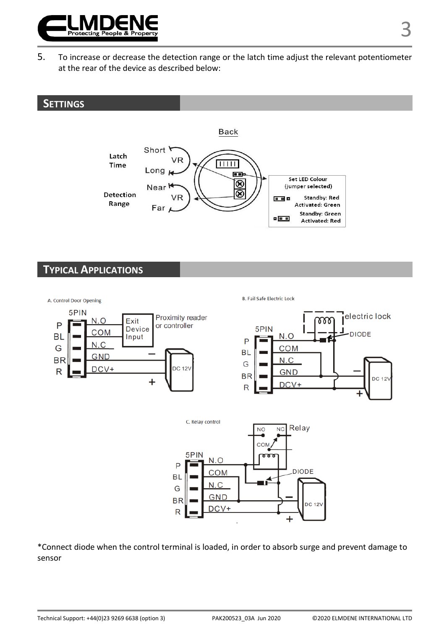

5. To increase or decrease the detection range or the latch time adjust the relevant potentiometer at the rear of the device as described below:

## **SETTINGS**



## **TYPICAL APPLICATIONS**



B. Fail Safe Electric Lock





\*Connect diode when the control terminal is loaded, in order to absorb surge and prevent damage to sensor